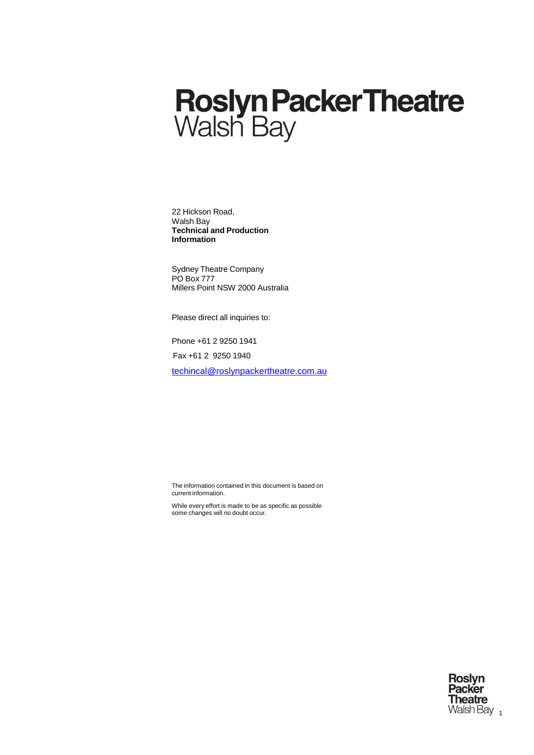# **Roslyn Packer Theatre**<br>Walsh Bay

22 Hickson Road, Walsh Bay **Technical and Production Information**

Sydney Theatre Company PO Box 777 Millers Point NSW 2000 Australia

Please direct all inquiries to:

Phone +61 2 9250 1941

Fax +61 2 9250 1940

[techincal@roslynpackertheatre.com.au](mailto:techincal@roslynpackertheatre.com.au)

The information contained in this document is based on current information.

While every effort is made to be as specific as possible some changes will no doubt occur.

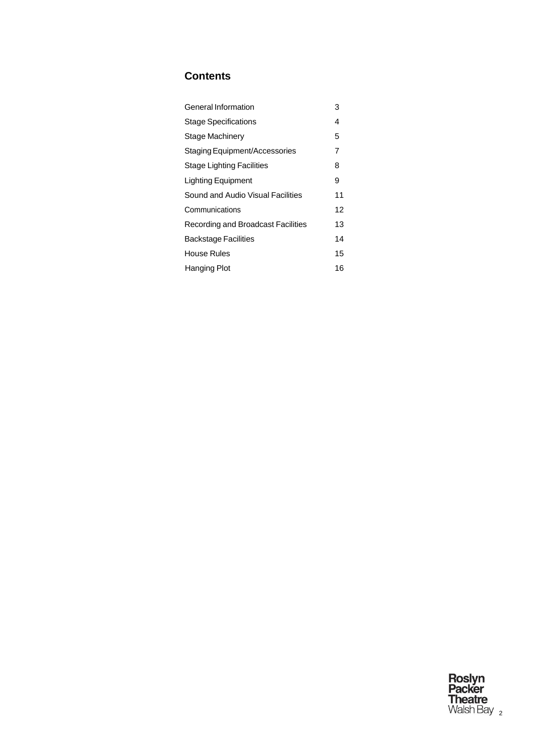# **Contents**

| General Information                | 3  |
|------------------------------------|----|
| <b>Stage Specifications</b>        | 4  |
| Stage Machinery                    | 5  |
| Staging Equipment/Accessories      | 7  |
| Stage Lighting Facilities          | 8  |
| Lighting Equipment                 | 9  |
| Sound and Audio Visual Facilities  | 11 |
| Communications                     | 12 |
| Recording and Broadcast Facilities | 13 |
| <b>Backstage Facilities</b>        | 14 |
| House Rules                        | 15 |
| Hanging Plot                       | 16 |

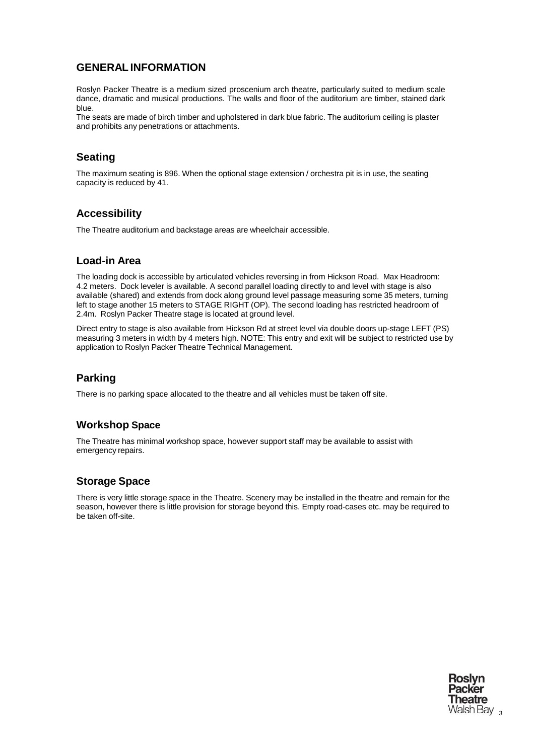## <span id="page-2-0"></span>**GENERAL INFORMATION**

Roslyn Packer Theatre is a medium sized proscenium arch theatre, particularly suited to medium scale dance, dramatic and musical productions. The walls and floor of the auditorium are timber, stained dark blue.

The seats are made of birch timber and upholstered in dark blue fabric. The auditorium ceiling is plaster and prohibits any penetrations or attachments.

## **Seating**

The maximum seating is 896. When the optional stage extension / orchestra pit is in use, the seating capacity is reduced by 41.

#### **Accessibility**

The Theatre auditorium and backstage areas are wheelchair accessible.

## **Load-in Area**

The loading dock is accessible by articulated vehicles reversing in from Hickson Road. Max Headroom: 4.2 meters. Dock leveler is available. A second parallel loading directly to and level with stage is also available (shared) and extends from dock along ground level passage measuring some 35 meters, turning left to stage another 15 meters to STAGE RIGHT (OP). The second loading has restricted headroom of 2.4m. Roslyn Packer Theatre stage is located at ground level.

Direct entry to stage is also available from Hickson Rd at street level via double doors up-stage LEFT (PS) measuring 3 meters in width by 4 meters high. NOTE: This entry and exit will be subject to restricted use by application to Roslyn Packer Theatre Technical Management.

# **Parking**

There is no parking space allocated to the theatre and all vehicles must be taken off site.

## **Workshop Space**

The Theatre has minimal workshop space, however support staff may be available to assist with emergency repairs.

## **Storage Space**

There is very little storage space in the Theatre. Scenery may be installed in the theatre and remain for the season, however there is little provision for storage beyond this. Empty road-cases etc. may be required to be taken off-site.

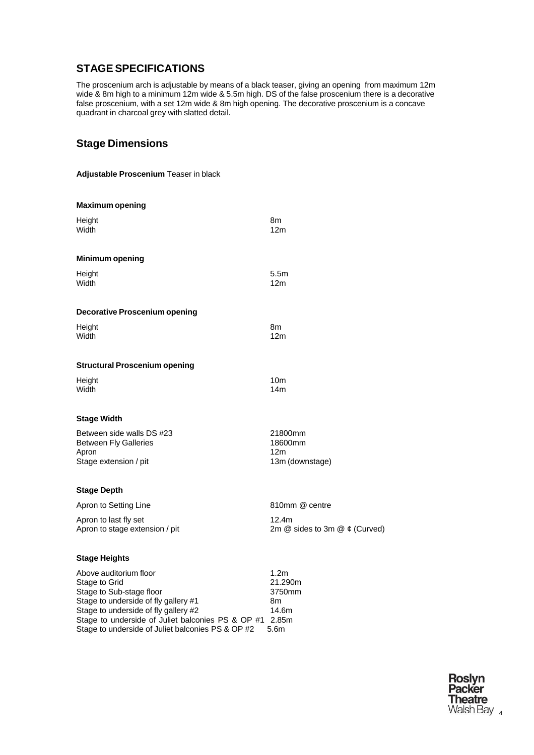# <span id="page-3-0"></span>**STAGESPECIFICATIONS**

The proscenium arch is adjustable by means of a black teaser, giving an opening from maximum 12m wide & 8m high to a minimum 12m wide & 5.5m high. DS of the false proscenium there is a decorative false proscenium, with a set 12m wide & 8m high opening. The decorative proscenium is a concave quadrant in charcoal grey with slatted detail.

# **Stage Dimensions**

|  | Adjustable Proscenium Teaser in black |  |  |
|--|---------------------------------------|--|--|
|--|---------------------------------------|--|--|

| <b>Maximum opening</b>                                                                                                                                                                                         |                                                          |
|----------------------------------------------------------------------------------------------------------------------------------------------------------------------------------------------------------------|----------------------------------------------------------|
| Height<br>Width                                                                                                                                                                                                | 8m<br>12 <sub>m</sub>                                    |
| <b>Minimum opening</b>                                                                                                                                                                                         |                                                          |
| Height<br>Width                                                                                                                                                                                                | 5.5m<br>12 <sub>m</sub>                                  |
| <b>Decorative Proscenium opening</b>                                                                                                                                                                           |                                                          |
| Height<br>Width                                                                                                                                                                                                | 8m<br>12m                                                |
| <b>Structural Proscenium opening</b>                                                                                                                                                                           |                                                          |
| Height<br>Width                                                                                                                                                                                                | 10 <sub>m</sub><br>14 <sub>m</sub>                       |
| <b>Stage Width</b>                                                                                                                                                                                             |                                                          |
| Between side walls DS #23<br><b>Between Fly Galleries</b><br>Apron<br>Stage extension / pit                                                                                                                    | 21800mm<br>18600mm<br>12 <sub>m</sub><br>13m (downstage) |
| <b>Stage Depth</b>                                                                                                                                                                                             |                                                          |
| Apron to Setting Line                                                                                                                                                                                          | 810mm @ centre                                           |
| Apron to last fly set<br>Apron to stage extension / pit                                                                                                                                                        | 12.4m<br>2m $@$ sides to 3m $@$ $¢$ (Curved)             |
| <b>Stage Heights</b>                                                                                                                                                                                           |                                                          |
| Above auditorium floor<br>Stage to Grid<br>Stage to Sub-stage floor<br>Stage to underside of fly gallery #1<br>Stage to underside of fly gallery #2<br>Stone to underpide of Juliet beloepies DS 8 OD #1 2.85m | 1.2 <sub>m</sub><br>21.290m<br>3750mm<br>8m<br>14.6m     |

Stage to underside of Juliet balconies PS & OP #1 2.85m Stage to underside of Juliet balconies PS & OP #2 5.6m

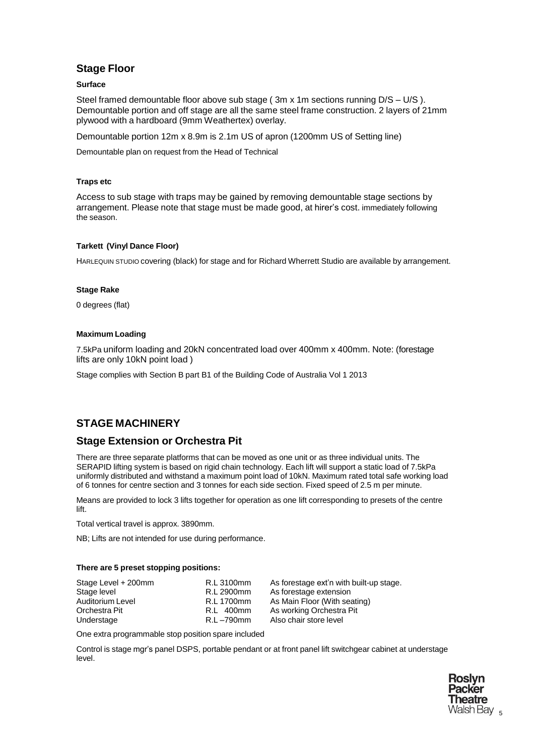## **Stage Floor**

#### **Surface**

Steel framed demountable floor above sub stage ( 3m x 1m sections running D/S – U/S ). Demountable portion and off stage are all the same steel frame construction. 2 layers of 21mm plywood with a hardboard (9mm Weathertex) overlay.

Demountable portion 12m x 8.9m is 2.1m US of apron (1200mm US of Setting line)

Demountable plan on request from the Head of Technical

#### **Traps etc**

Access to sub stage with traps may be gained by removing demountable stage sections by arrangement. Please note that stage must be made good, at hirer's cost. immediately following the season.

#### **Tarkett (Vinyl Dance Floor)**

HARLEQUIN STUDIO covering (black) for stage and for Richard Wherrett Studio are available by arrangement.

#### **Stage Rake**

0 degrees (flat)

#### **Maximum Loading**

7.5kPa uniform loading and 20kN concentrated load over 400mm x 400mm. Note: (forestage lifts are only 10kN point load )

Stage complies with Section B part B1 of the Building Code of Australia Vol 1 2013

## <span id="page-4-0"></span>**STAGE MACHINERY**

#### **Stage Extension or Orchestra Pit**

There are three separate platforms that can be moved as one unit or as three individual units. The SERAPID lifting system is based on rigid chain technology. Each lift will support a static load of 7.5kPa uniformly distributed and withstand a maximum point load of 10kN. Maximum rated total safe working load of 6 tonnes for centre section and 3 tonnes for each side section. Fixed speed of 2.5 m per minute.

Means are provided to lock 3 lifts together for operation as one lift corresponding to presets of the centre lift.

Total vertical travel is approx. 3890mm.

NB; Lifts are not intended for use during performance.

#### **There are 5 preset stopping positions:**

| Stage Level + 200mm | R.L 3100mm | As forestage ext'n with built-up stage. |
|---------------------|------------|-----------------------------------------|
| Stage level         | R.L 2900mm | As forestage extension                  |
| Auditorium Level    | R.L 1700mm | As Main Floor (With seating)            |
| Orchestra Pit       | R.L 400mm  | As working Orchestra Pit                |
| Understage          | R.L –790mm | Also chair store level                  |

One extra programmable stop position spare included

Control is stage mgr's panel DSPS, portable pendant or at front panel lift switchgear cabinet at understage level.

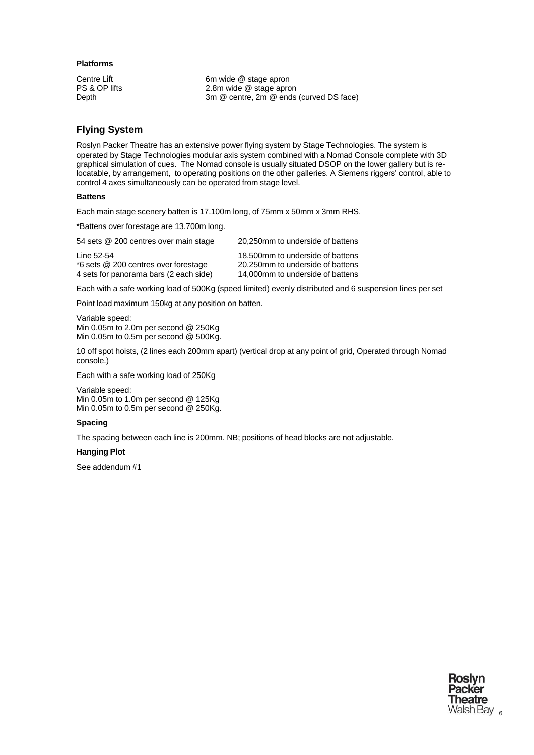#### **Platforms**

Centre Lift 6m wide @ stage apron<br>
PS & OP lifts 6m 2.8m wide @ stage apron PS & OP lifts 2.8m wide @ stage apron<br>Depth 2.8m @ centre, 2m @ ends 3m @ centre, 2m @ ends (curved DS face)

#### **Flying System**

Roslyn Packer Theatre has an extensive power flying system by Stage Technologies. The system is operated by Stage Technologies modular axis system combined with a Nomad Console complete with 3D graphical simulation of cues. The Nomad console is usually situated DSOP on the lower gallery but is relocatable, by arrangement, to operating positions on the other galleries. A Siemens riggers' control, able to control 4 axes simultaneously can be operated from stage level.

#### **Battens**

Each main stage scenery batten is 17.100m long, of 75mm x 50mm x 3mm RHS.

\*Battens over forestage are 13.700m long.

| 54 sets @ 200 centres over main stage  | 20.250mm to underside of battens |
|----------------------------------------|----------------------------------|
| Line 52-54                             | 18.500mm to underside of battens |
| *6 sets @ 200 centres over forestage   | 20.250mm to underside of battens |
| 4 sets for panorama bars (2 each side) | 14,000mm to underside of battens |

Each with a safe working load of 500Kg (speed limited) evenly distributed and 6 suspension lines per set

Point load maximum 150kg at any position on batten.

Variable speed: Min 0.05m to 2.0m per second @ 250Kg Min 0.05m to 0.5m per second @ 500Kg.

10 off spot hoists, (2 lines each 200mm apart) (vertical drop at any point of grid, Operated through Nomad console.)

Each with a safe working load of 250Kg

Variable speed: Min 0.05m to 1.0m per second @ 125Kg Min 0.05m to 0.5m per second @ 250Kg.

#### **Spacing**

The spacing between each line is 200mm. NB; positions of head blocks are not adjustable.

#### **Hanging Plot**

See addendum #1

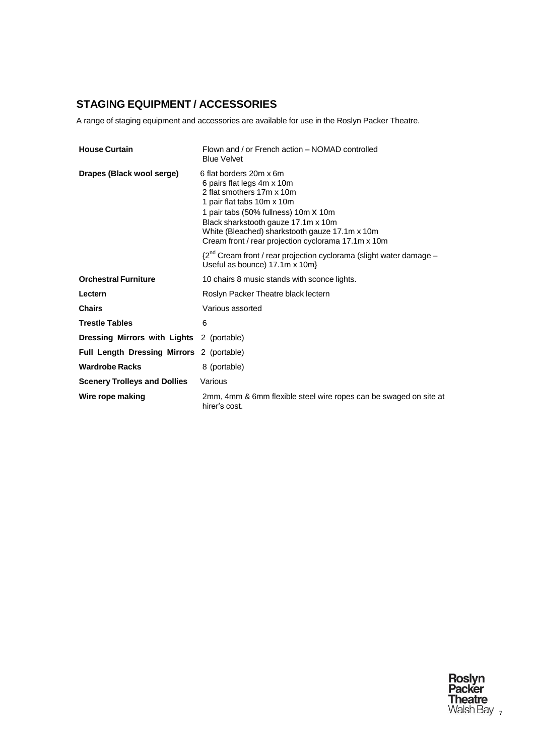# <span id="page-6-0"></span>**STAGING EQUIPMENT / ACCESSORIES**

A range of staging equipment and accessories are available for use in the Roslyn Packer Theatre.

| <b>House Curtain</b>                      | Flown and / or French action - NOMAD controlled<br><b>Blue Velvet</b>                                                                                                                                                                                                                                    |
|-------------------------------------------|----------------------------------------------------------------------------------------------------------------------------------------------------------------------------------------------------------------------------------------------------------------------------------------------------------|
| Drapes (Black wool serge)                 | 6 flat borders 20m x 6m<br>6 pairs flat legs 4m x 10m<br>2 flat smothers 17m x 10m<br>1 pair flat tabs 10m x 10m<br>1 pair tabs (50% fullness) 10m X 10m<br>Black sharkstooth gauze 17.1m x 10m<br>White (Bleached) sharkstooth gauze 17.1m x 10m<br>Cream front / rear projection cyclorama 17.1m x 10m |
|                                           | {2 <sup>nd</sup> Cream front / rear projection cyclorama (slight water damage -<br>Useful as bounce) 17.1m x 10m}                                                                                                                                                                                        |
| <b>Orchestral Furniture</b>               | 10 chairs 8 music stands with sconce lights.                                                                                                                                                                                                                                                             |
| Lectern                                   | Roslyn Packer Theatre black lectern                                                                                                                                                                                                                                                                      |
| <b>Chairs</b>                             | Various assorted                                                                                                                                                                                                                                                                                         |
| <b>Trestle Tables</b>                     | 6                                                                                                                                                                                                                                                                                                        |
| Dressing Mirrors with Lights 2 (portable) |                                                                                                                                                                                                                                                                                                          |
| Full Length Dressing Mirrors 2 (portable) |                                                                                                                                                                                                                                                                                                          |
| <b>Wardrobe Racks</b>                     | 8 (portable)                                                                                                                                                                                                                                                                                             |
| <b>Scenery Trolleys and Dollies</b>       | Various                                                                                                                                                                                                                                                                                                  |
| Wire rope making                          | 2mm, 4mm & 6mm flexible steel wire ropes can be swaged on site at<br>hirer's cost.                                                                                                                                                                                                                       |

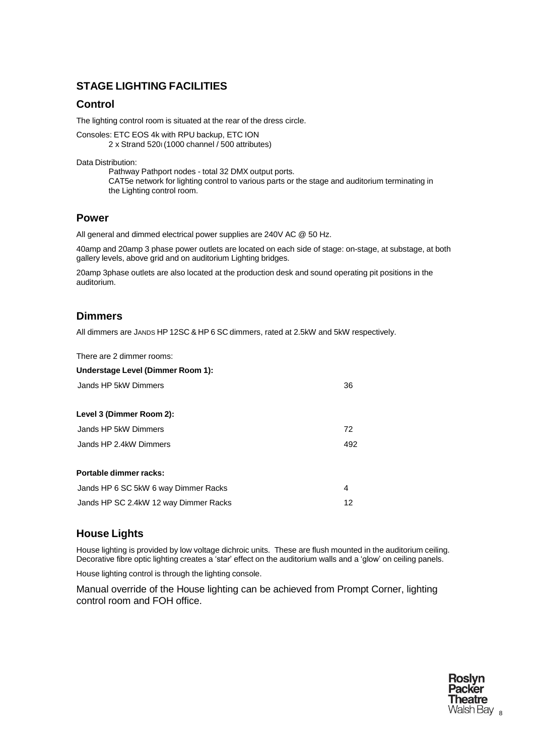# <span id="page-7-0"></span>**STAGE LIGHTING FACILITIES**

## **Control**

The lighting control room is situated at the rear of the dress circle.

Consoles: ETC EOS 4k with RPU backup, ETC ION 2 x Strand 520I (1000 channel / 500 attributes)

Data Distribution:

Pathway Pathport nodes - total 32 DMX output ports. CAT5e network for lighting control to various parts or the stage and auditorium terminating in the Lighting control room.

#### **Power**

All general and dimmed electrical power supplies are 240V AC @ 50 Hz.

40amp and 20amp 3 phase power outlets are located on each side of stage: on-stage, at substage, at both gallery levels, above grid and on auditorium Lighting bridges.

20amp 3phase outlets are also located at the production desk and sound operating pit positions in the auditorium.

## **Dimmers**

All dimmers are JANDS HP 12SC & HP 6 SC dimmers, rated at 2.5kW and 5kW respectively.

There are 2 dimmer rooms:

| Understage Level (Dimmer Room 1):     |     |
|---------------------------------------|-----|
| Jands HP 5kW Dimmers                  | 36  |
| Level 3 (Dimmer Room 2):              |     |
| Jands HP 5kW Dimmers                  | 72  |
| Jands HP 2.4kW Dimmers                | 492 |
| Portable dimmer racks:                |     |
| Jands HP 6 SC 5kW 6 way Dimmer Racks  | 4   |
| Jands HP SC 2.4kW 12 way Dimmer Racks | 12  |

# **House Lights**

House lighting is provided by low voltage dichroic units. These are flush mounted in the auditorium ceiling. Decorative fibre optic lighting creates a 'star' effect on the auditorium walls and a 'glow' on ceiling panels.

House lighting control is through the lighting console.

Manual override of the House lighting can be achieved from Prompt Corner, lighting control room and FOH office.

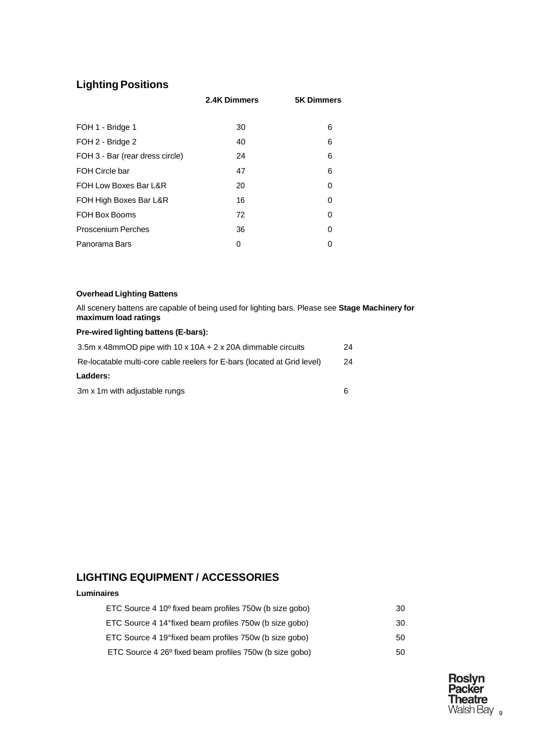# **Lighting Positions**

|                                 | 2.4K Dimmers | <b>5K Dimmers</b> |
|---------------------------------|--------------|-------------------|
|                                 |              |                   |
| FOH 1 - Bridge 1                | 30           | 6                 |
| FOH 2 - Bridge 2                | 40           | 6                 |
| FOH 3 - Bar (rear dress circle) | 24           | 6                 |
| FOH Circle bar                  | 47           | 6                 |
| FOH Low Boxes Bar L&R           | 20           | 0                 |
| FOH High Boxes Bar L&R          | 16           | $\Omega$          |
| FOH Box Booms                   | 72           | 0                 |
| <b>Proscenium Perches</b>       | 36           | O                 |
| Panorama Bars                   | 0            | ∩                 |

#### **Overhead Lighting Battens**

All scenery battens are capable of being used for lighting bars. Please see **Stage Machinery for maximum load ratings**

#### **Pre-wired lighting battens (E-bars):**

| 3.5m x 48mmOD pipe with $10 \times 10A + 2 \times 20A$ dimmable circuits | 24 |
|--------------------------------------------------------------------------|----|
| Re-locatable multi-core cable reelers for E-bars (located at Grid level) | 24 |
| Ladders:                                                                 |    |
| 3m x 1m with adjustable rungs                                            | 6  |

## **LIGHTING EQUIPMENT / ACCESSORIES**

#### **Luminaires**

| ETC Source 4 10 <sup>o</sup> fixed beam profiles 750w (b size gobo) | 30 |
|---------------------------------------------------------------------|----|
| ETC Source 4 14°fixed beam profiles 750w (b size gobo)              | 30 |
| ETC Source 4 19°fixed beam profiles 750w (b size gobo)              | 50 |
| ETC Source 4 26 <sup>°</sup> fixed beam profiles 750w (b size gobo) | 50 |

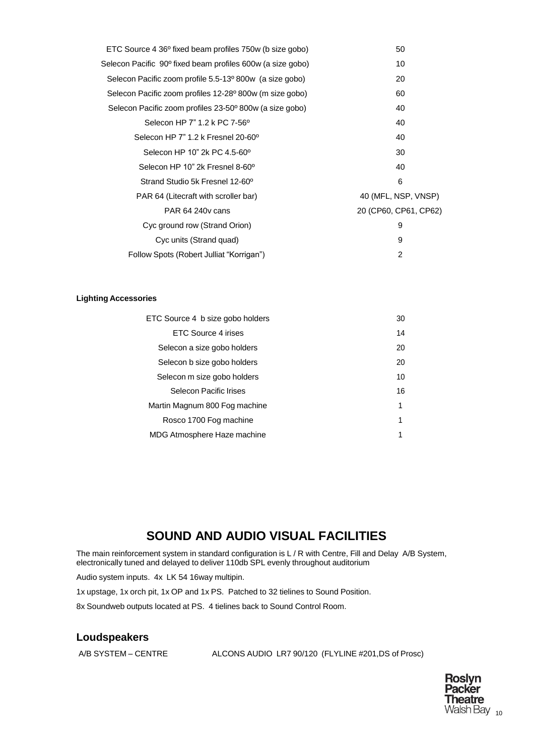| ETC Source 4 36° fixed beam profiles 750w (b size gobo)    | 50                    |
|------------------------------------------------------------|-----------------------|
| Selecon Pacific 90° fixed beam profiles 600w (a size gobo) | 10                    |
| Selecon Pacific zoom profile 5.5-13° 800w (a size gobo)    | 20                    |
| Selecon Pacific zoom profiles 12-28° 800w (m size gobo)    | 60                    |
| Selecon Pacific zoom profiles 23-50° 800w (a size gobo)    | 40                    |
| Selecon HP 7" 1.2 k PC 7-56°                               | 40                    |
| Selecon HP 7" 1.2 k Fresnel 20-60°                         | 40                    |
| Selecon HP 10" 2k PC 4.5-60°                               | 30                    |
| Selecon HP 10" 2k Fresnel 8-60°                            | 40                    |
| Strand Studio 5k Fresnel 12-60 <sup>°</sup>                | 6                     |
| PAR 64 (Litecraft with scroller bar)                       | 40 (MFL, NSP, VNSP)   |
| <b>PAR 64 240 v cans</b>                                   | 20 (CP60, CP61, CP62) |
| Cyc ground row (Strand Orion)                              | 9                     |
| Cyc units (Strand quad)                                    | 9                     |
| Follow Spots (Robert Julliat "Korrigan")                   | 2                     |

#### **Lighting Accessories**

| ETC Source 4 b size gobo holders | 30 |
|----------------------------------|----|
| <b>FTC Source 4 irises</b>       | 14 |
| Selecon a size gobo holders      | 20 |
| Selecon b size gobo holders      | 20 |
| Selecon m size gobo holders      | 10 |
| Selecon Pacific Irises           | 16 |
| Martin Magnum 800 Fog machine    | 1  |
| Rosco 1700 Fog machine           | 1  |
| MDG Atmosphere Haze machine      | 1  |

# **SOUND AND AUDIO VISUAL FACILITIES**

The main reinforcement system in standard configuration is L / R with Centre, Fill and Delay A/B System, electronically tuned and delayed to deliver 110db SPL evenly throughout auditorium

Audio system inputs. 4x LK 54 16way multipin.

1x upstage, 1x orch pit, 1x OP and 1x PS. Patched to 32 tielines to Sound Position.

8x Soundweb outputs located at PS. 4 tielines back to Sound Control Room.

#### **Loudspeakers**

A/B SYSTEM – CENTRE ALCONS AUDIO LR7 90/120 (FLYLINE #201,DS of Prosc)

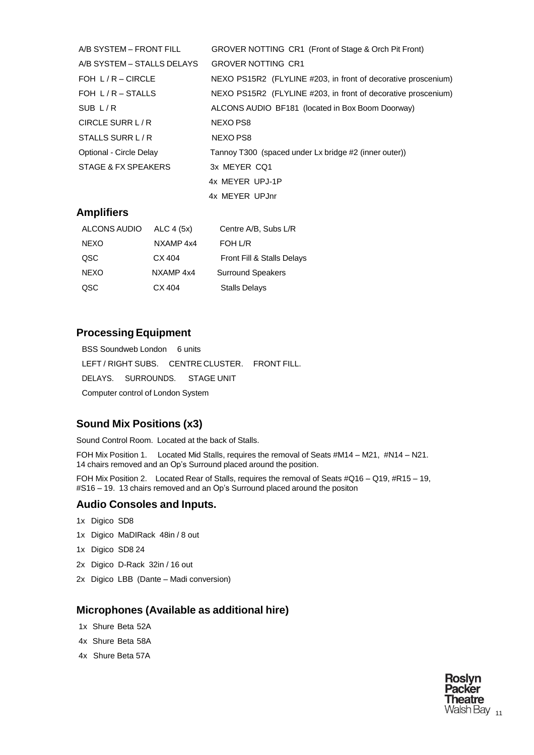| A/B SYSTEM – FRONT FILL    | GROVER NOTTING CR1 (Front of Stage & Orch Pit Front)          |
|----------------------------|---------------------------------------------------------------|
| A/B SYSTEM – STALLS DELAYS | <b>GROVER NOTTING CR1</b>                                     |
| FOH $L/R - CIRCLE$         | NEXO PS15R2 (FLYLINE #203, in front of decorative proscenium) |
| FOH $L/R$ – STALLS         | NEXO PS15R2 (FLYLINE #203, in front of decorative proscenium) |
| SUB $L/R$                  | ALCONS AUDIO BF181 (located in Box Boom Doorway)              |
| CIRCLE SURR L/R            | NEXO PS8                                                      |
| STALLS SURR L/R            | NEXO PS8                                                      |
| Optional - Circle Delay    | Tannoy T300 (spaced under Lx bridge #2 (inner outer))         |
| STAGE & FX SPEAKERS        | 3x MEYER CQ1                                                  |
|                            | 4x MEYER UPJ-1P                                               |
|                            | 4x MEYER UPJnr                                                |

#### **Amplifiers**

| ALCONS AUDIO | ALC 4 (5x) | Centre A/B, Subs L/R       |
|--------------|------------|----------------------------|
| NEXO         | NXAMP 4x4  | FOH L/R                    |
| QSC          | CX 404     | Front Fill & Stalls Delays |
| <b>NEXO</b>  | NXAMP 4x4  | <b>Surround Speakers</b>   |
| QSC          | CX 404     | <b>Stalls Delays</b>       |

#### **ProcessingEquipment**

BSS Soundweb London 6 units LEFT / RIGHT SUBS. CENTRE CLUSTER. FRONT FILL. DELAYS. SURROUNDS. STAGE UNIT Computer control of London System

## **Sound Mix Positions (x3)**

Sound Control Room. Located at the back of Stalls.

FOH Mix Position 1. Located Mid Stalls, requires the removal of Seats #M14 – M21, #N14 – N21. 14 chairs removed and an Op's Surround placed around the position.

FOH Mix Position 2. Located Rear of Stalls, requires the removal of Seats #Q16 – Q19, #R15 – 19, #S16 – 19. 13 chairs removed and an Op's Surround placed around the positon

#### **Audio Consoles and Inputs.**

- 1x Digico SD8
- 1x Digico MaDIRack 48in / 8 out
- 1x Digico SD8 24
- 2x Digico D-Rack 32in / 16 out
- 2x Digico LBB (Dante Madi conversion)

#### **Microphones (Available as additional hire)**

- 1x Shure Beta 52A
- 4x Shure Beta 58A
- 4x Shure Beta 57A

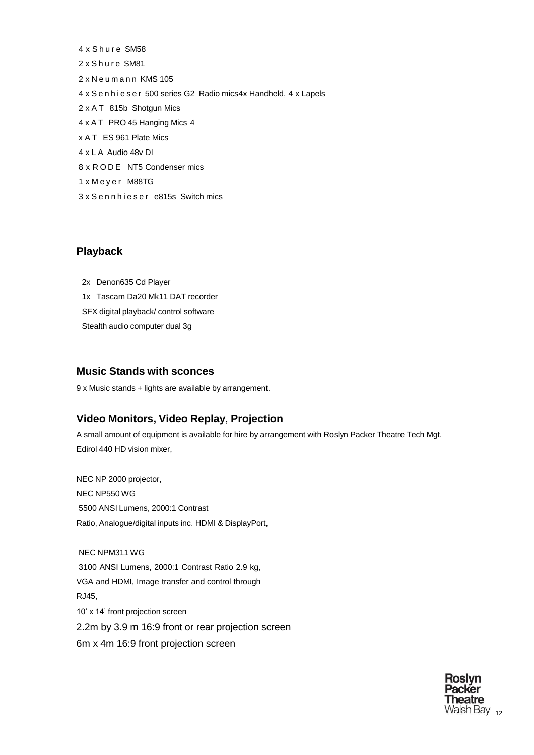4 x Shure SM58 2 x Shure SM81 2 x N e u m a n n KMS 105 4 x S e n h i e s e r 500 series G2 Radio mics4x Handheld, 4 x Lapels 2 x A T 815b Shotgun Mics 4 x A T PRO 45 Hanging Mics 4 x A T ES 961 Plate Mics 4 x L A Audio 48v DI 8 x R O D E NT5 Condenser mics 1 x M e y e r M88TG 3 x S e n n h i e s e r e815s Switch mics

#### **Playback**

2x Denon635 Cd Player 1x Tascam Da20 Mk11 DAT recorder SFX digital playback/ control software Stealth audio computer dual 3g

#### **Music Stands with sconces**

9 x Music stands + lights are available by arrangement.

## **Video Monitors, Video Replay**, **Projection**

A small amount of equipment is available for hire by arrangement with Roslyn Packer Theatre Tech Mgt. Edirol 440 HD vision mixer,

NEC NP 2000 projector, NEC NP550 WG 5500 ANSI Lumens, 2000:1 Contrast Ratio, Analogue/digital inputs inc. HDMI & DisplayPort,

NEC NPM311 WG 3100 ANSI Lumens, 2000:1 Contrast Ratio 2.9 kg, VGA and HDMI, Image transfer and control through RJ45, 10' x 14' front projection screen 2.2m by 3.9 m 16:9 front or rear projection screen 6m x 4m 16:9 front projection screen

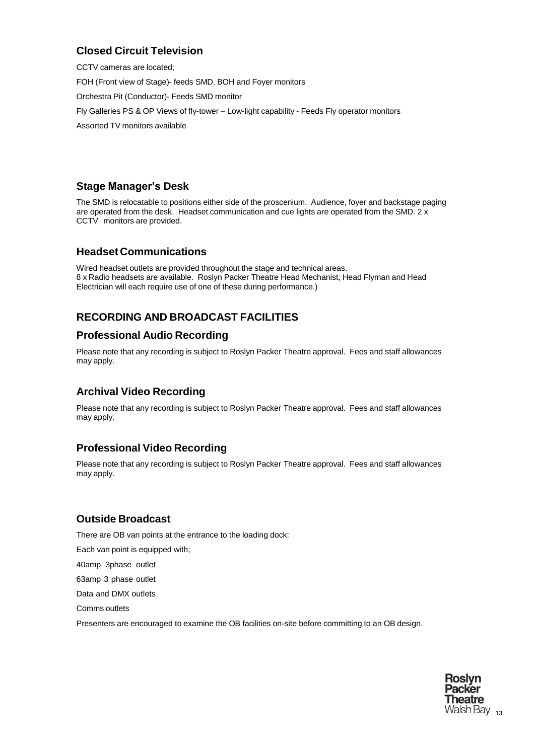# **Closed Circuit Television**

CCTV cameras are located; FOH (Front view of Stage)- feeds SMD, BOH and Foyer monitors Orchestra Pit (Conductor)- Feeds SMD monitor Fly Galleries PS & OP Views of fly-tower – Low-light capability - Feeds Fly operator monitors Assorted TV monitors available

## **Stage Manager's Desk**

The SMD is relocatable to positions either side of the proscenium. Audience, foyer and backstage paging are operated from the desk. Headset communication and cue lights are operated from the SMD. 2 x CCTV monitors are provided.

#### **Headset Communications**

Wired headset outlets are provided throughout the stage and technical areas. 8 x Radio headsets are available. Roslyn Packer Theatre Head Mechanist, Head Flyman and Head Electrician will each require use of one of these during performance.)

# <span id="page-12-0"></span>**RECORDING AND BROADCAST FACILITIES**

## **Professional Audio Recording**

Please note that any recording is subject to Roslyn Packer Theatre approval. Fees and staff allowances may apply.

# **Archival Video Recording**

Please note that any recording is subject to Roslyn Packer Theatre approval. Fees and staff allowances may apply.

## **Professional Video Recording**

Please note that any recording is subject to Roslyn Packer Theatre approval. Fees and staff allowances may apply.

## **Outside Broadcast**

There are OB van points at the entrance to the loading dock:

Each van point is equipped with;

40amp 3phase outlet

63amp 3 phase outlet

Data and DMX outlets

Comms outlets

Presenters are encouraged to examine the OB facilities on-site before committing to an OB design.

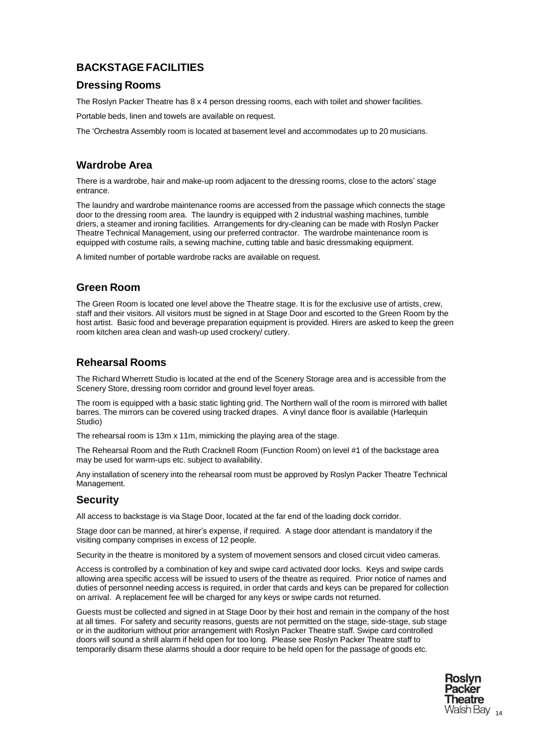# <span id="page-13-0"></span>**BACKSTAGE FACILITIES**

#### **Dressing Rooms**

The Roslyn Packer Theatre has 8 x 4 person dressing rooms, each with toilet and shower facilities.

Portable beds, linen and towels are available on request.

The 'Orchestra Assembly room is located at basement level and accommodates up to 20 musicians.

#### **Wardrobe Area**

There is a wardrobe, hair and make-up room adjacent to the dressing rooms, close to the actors' stage entrance.

The laundry and wardrobe maintenance rooms are accessed from the passage which connects the stage door to the dressing room area. The laundry is equipped with 2 industrial washing machines, tumble driers, a steamer and ironing facilities. Arrangements for dry-cleaning can be made with Roslyn Packer Theatre Technical Management, using our preferred contractor. The wardrobe maintenance room is equipped with costume rails, a sewing machine, cutting table and basic dressmaking equipment.

A limited number of portable wardrobe racks are available on request.

#### **Green Room**

The Green Room is located one level above the Theatre stage. It is for the exclusive use of artists, crew, staff and their visitors. All visitors must be signed in at Stage Door and escorted to the Green Room by the host artist. Basic food and beverage preparation equipment is provided. Hirers are asked to keep the green room kitchen area clean and wash-up used crockery/ cutlery.

#### **Rehearsal Rooms**

The Richard Wherrett Studio is located at the end of the Scenery Storage area and is accessible from the Scenery Store, dressing room corridor and ground level foyer areas.

The room is equipped with a basic static lighting grid. The Northern wall of the room is mirrored with ballet barres. The mirrors can be covered using tracked drapes. A vinyl dance floor is available (Harlequin Studio)

The rehearsal room is 13m x 11m, mimicking the playing area of the stage.

The Rehearsal Room and the Ruth Cracknell Room (Function Room) on level #1 of the backstage area may be used for warm-ups etc. subject to availability.

Any installation of scenery into the rehearsal room must be approved by Roslyn Packer Theatre Technical Management.

## **Security**

All access to backstage is via Stage Door, located at the far end of the loading dock corridor.

Stage door can be manned, at hirer's expense, if required. A stage door attendant is mandatory if the visiting company comprises in excess of 12 people.

Security in the theatre is monitored by a system of movement sensors and closed circuit video cameras.

Access is controlled by a combination of key and swipe card activated door locks. Keys and swipe cards allowing area specific access will be issued to users of the theatre as required. Prior notice of names and duties of personnel needing access is required, in order that cards and keys can be prepared for collection on arrival. A replacement fee will be charged for any keys or swipe cards not returned.

Guests must be collected and signed in at Stage Door by their host and remain in the company of the host at all times. For safety and security reasons, guests are not permitted on the stage, side-stage, sub stage or in the auditorium without prior arrangement with Roslyn Packer Theatre staff. Swipe card controlled doors will sound a shrill alarm if held open for too long. Please see Roslyn Packer Theatre staff to temporarily disarm these alarms should a door require to be held open for the passage of goods etc.

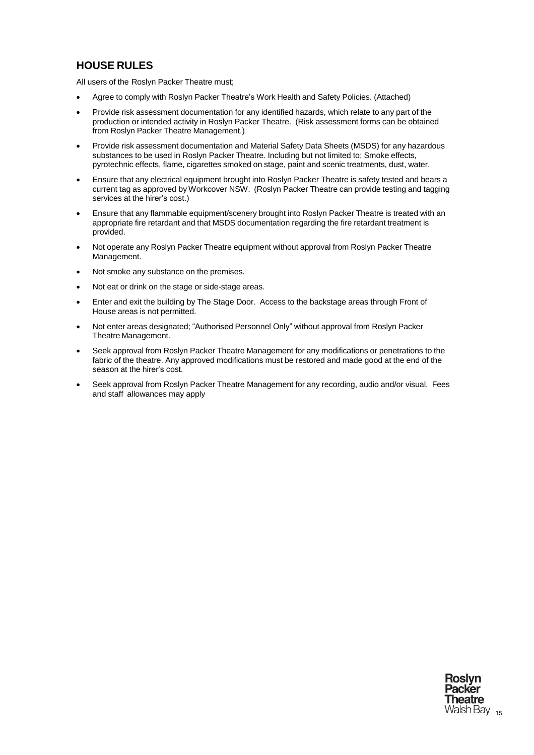# <span id="page-14-0"></span>**HOUSE RULES**

All users of the Roslyn Packer Theatre must;

- Agree to comply with Roslyn Packer Theatre's Work Health and Safety Policies. (Attached)
- Provide risk assessment documentation for any identified hazards, which relate to any part of the production or intended activity in Roslyn Packer Theatre. (Risk assessment forms can be obtained from Roslyn Packer Theatre Management.)
- Provide risk assessment documentation and Material Safety Data Sheets (MSDS) for any hazardous substances to be used in Roslyn Packer Theatre. Including but not limited to; Smoke effects, pyrotechnic effects, flame, cigarettes smoked on stage, paint and scenic treatments, dust, water.
- Ensure that any electrical equipment brought into Roslyn Packer Theatre is safety tested and bears a current tag as approved by Workcover NSW. (Roslyn Packer Theatre can provide testing and tagging services at the hirer's cost.)
- Ensure that any flammable equipment/scenery brought into Roslyn Packer Theatre is treated with an appropriate fire retardant and that MSDS documentation regarding the fire retardant treatment is provided.
- Not operate any Roslyn Packer Theatre equipment without approval from Roslyn Packer Theatre Management.
- Not smoke any substance on the premises.
- Not eat or drink on the stage or side-stage areas.
- Enter and exit the building by The Stage Door. Access to the backstage areas through Front of House areas is not permitted.
- Not enter areas designated; "Authorised Personnel Only" without approval from Roslyn Packer Theatre Management.
- Seek approval from Roslyn Packer Theatre Management for any modifications or penetrations to the fabric of the theatre. Any approved modifications must be restored and made good at the end of the season at the hirer's cost.
- Seek approval from Roslyn Packer Theatre Management for any recording, audio and/or visual. Fees and staff allowances may apply

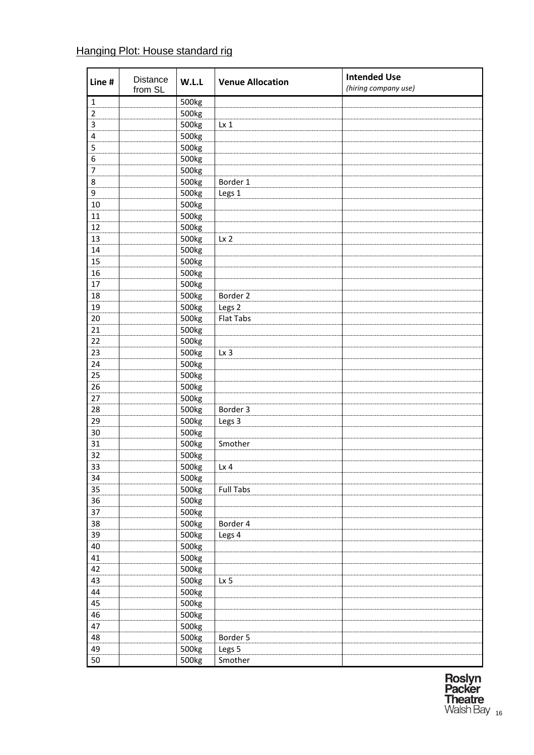# Hanging Plot: House standard rig

| Line #         | <b>Distance</b><br>from SL | W.L.L | <b>Venue Allocation</b> | <b>Intended Use</b><br>(hiring company use) |
|----------------|----------------------------|-------|-------------------------|---------------------------------------------|
| $\mathbf 1$    |                            | 500kg |                         |                                             |
| $\overline{2}$ |                            | 500kg |                         |                                             |
| 3              |                            | 500kg | $Lx_1$                  |                                             |
| $\pmb{4}$      |                            | 500kg |                         |                                             |
| 5              |                            | 500kg |                         |                                             |
| 6              |                            | 500kg |                         |                                             |
| $\overline{7}$ |                            | 500kg |                         |                                             |
| 8              |                            | 500kg | Border 1                |                                             |
| 9              |                            | 500kg | Legs 1                  |                                             |
| $10\,$         |                            | 500kg |                         |                                             |
| 11             |                            | 500kg |                         |                                             |
| 12             |                            | 500kg |                         |                                             |
| 13             |                            | 500kg | Lx <sub>2</sub>         |                                             |
| 14             |                            | 500kg |                         |                                             |
| 15             |                            | 500kg |                         |                                             |
| 16             |                            | 500kg |                         |                                             |
| 17             |                            | 500kg |                         |                                             |
| 18             |                            | 500kg | Border 2                |                                             |
| 19             |                            | 500kg | Legs <sub>2</sub>       |                                             |
| 20             |                            | 500kg | Flat Tabs               |                                             |
| 21             |                            | 500kg |                         |                                             |
| 22             |                            | 500kg |                         |                                             |
| 23             |                            | 500kg | Lx <sub>3</sub>         |                                             |
| 24             |                            | 500kg |                         |                                             |
| 25             |                            | 500kg |                         |                                             |
| 26             |                            | 500kg |                         |                                             |
| 27             |                            | 500kg |                         |                                             |
| 28             |                            | 500kg | Border 3                |                                             |
| 29             |                            | 500kg | Legs <sub>3</sub>       |                                             |
| 30             |                            | 500kg |                         |                                             |
| 31             |                            | 500kg | Smother                 |                                             |
| 32             |                            | 500kg |                         |                                             |
| 33             |                            | 500kg | $Lx$ 4                  |                                             |
| 34             |                            | 500kg |                         |                                             |
| 35             |                            | 500kg | <b>Full Tabs</b>        |                                             |
| 36             |                            | 500kg |                         |                                             |
| 37             |                            | 500kg |                         |                                             |
| 38             |                            | 500kg | Border 4                |                                             |
| 39             |                            | 500kg | Legs 4                  |                                             |
| 40             |                            | 500kg |                         |                                             |
| 41             |                            | 500kg |                         |                                             |
| 42             |                            | 500kg |                         |                                             |
| 43             |                            | 500kg | Lx 5                    |                                             |
| 44             |                            | 500kg |                         |                                             |
| 45             |                            | 500kg |                         |                                             |
| 46             |                            |       |                         |                                             |
| 47             |                            | 500kg |                         |                                             |
|                |                            | 500kg |                         |                                             |
| 48             |                            | 500kg | Border 5                |                                             |
| 49             |                            | 500kg | Legs 5                  |                                             |
| 50             |                            | 500kg | Smother                 |                                             |